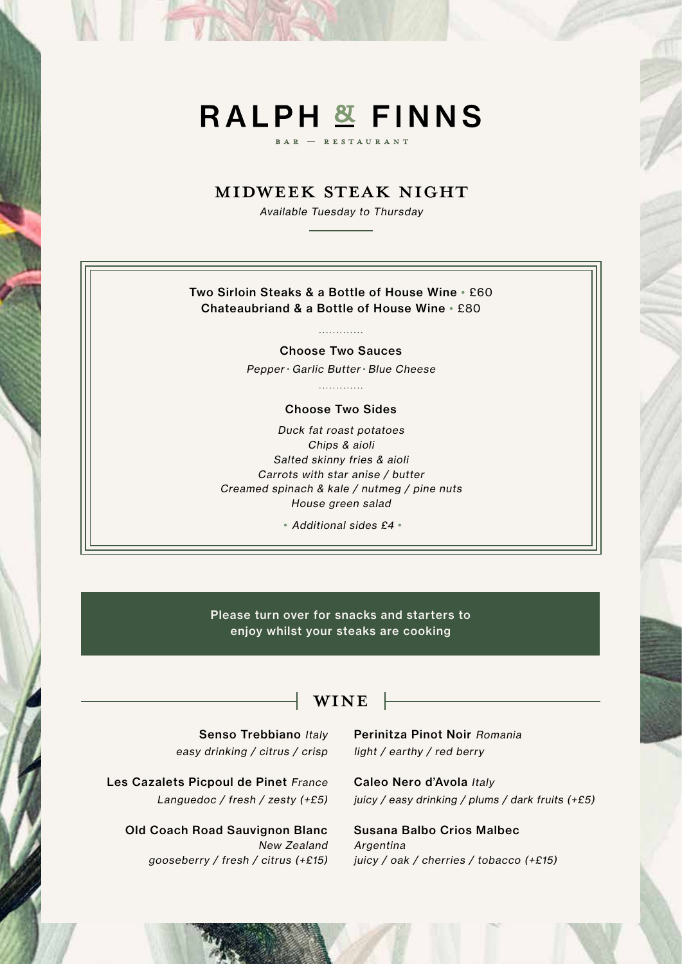## **RALPH & FINNS**

**RESTAURANT** 

### MIDWEEK STEAK NIGHT

Available Tuesday to Thursday

#### Two Sirloin Steaks & a Bottle of House Wine • £60 Chateaubriand & a Bottle of House Wine • £80

#### . . . . . . . . . . . . .

Choose Two Sauces

Pepper • Garlic Butter • Blue Cheese

. . . . . . . . . . . . .

#### Choose Two Sides

Duck fat roast potatoes Chips & aioli Salted skinny fries & aioli Carrots with star anise / butter Creamed spinach & kale / nutmeg / pine nuts House green salad

• Additional sides £4 •

Please turn over for snacks and starters to enjoy whilst your steaks are cooking

## WINE

Senso Trebbiano Italy easy drinking / citrus / crisp

Les Cazalets Picpoul de Pinet France Languedoc / fresh / zesty (+£5)

Old Coach Road Sauvignon Blanc New Zealand gooseberry / fresh / citrus (+£15) Perinitza Pinot Noir Romania light / earthy / red berry

Caleo Nero d'Avola Italy juicy / easy drinking / plums / dark fruits (+£5)

Susana Balbo Crios Malbec Argentina juicy / oak / cherries / tobacco (+£15)